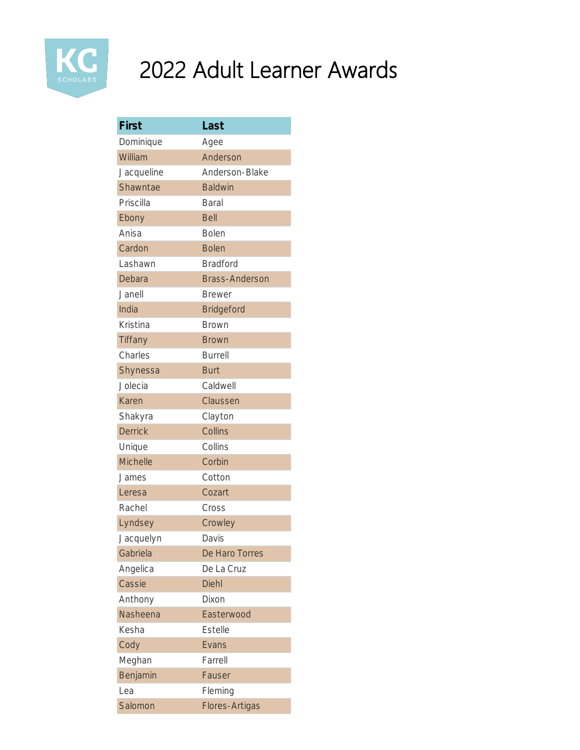

| First           | Last                  |
|-----------------|-----------------------|
| Dominique       | Agee                  |
| William         | Anderson              |
| Jacqueline      | Anderson-Blake        |
| Shawntae        | <b>Baldwin</b>        |
| Priscilla       | <b>Baral</b>          |
| Ebony           | <b>Bell</b>           |
| Anisa           | <b>Bolen</b>          |
| Cardon          | <b>Bolen</b>          |
| Lashawn         | <b>Bradford</b>       |
| Debara          | <b>Brass-Anderson</b> |
| Janell          | <b>Brewer</b>         |
| India           | <b>Bridgeford</b>     |
| Kristina        | Brown                 |
| Tiffany         | <b>Brown</b>          |
| Charles         | <b>Burrell</b>        |
| Shynessa        | <b>Burt</b>           |
| Jolecia         | Caldwell              |
| <b>Karen</b>    | Claussen              |
| Shakyra         | Clayton               |
| <b>Derrick</b>  | Collins               |
| Unique          | Collins               |
| <b>Michelle</b> | Corbin                |
| James           | Cotton                |
| Leresa          | Cozart                |
| Rachel          | Cross                 |
| Lyndsey         | Crowley               |
| Jacquelyn       | Davis                 |
| Gabriela        | De Haro Torres        |
| Angelica        | De La Cruz            |
| Cassie          | <b>Diehl</b>          |
| Anthony         | Dixon                 |
| Nasheena        | Easterwood            |
| Kesha           | <b>Estelle</b>        |
| Cody            | Evans                 |
| Meghan          | Farrell               |
| Benjamin        | Fauser                |
| Lea             | Fleming               |
| Salomon         | Flores-Artigas        |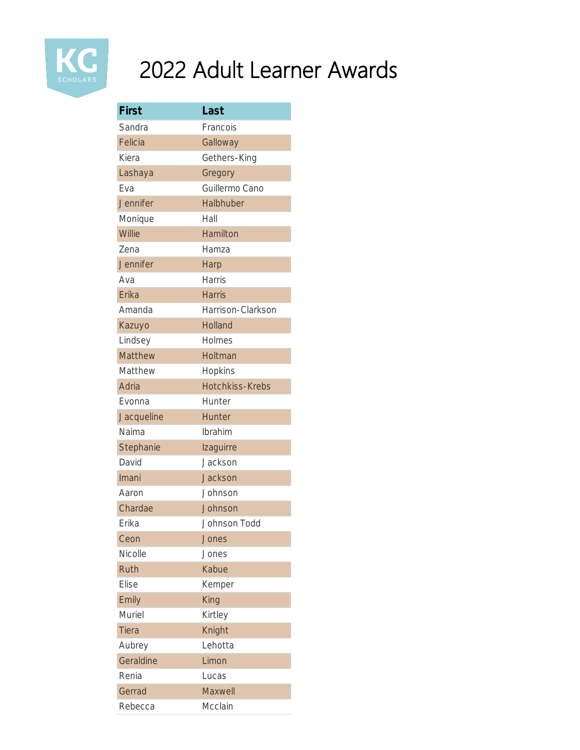

| First        | Last                   |
|--------------|------------------------|
| Sandra       | Francois               |
| Felicia      | Galloway               |
| Kiera        | Gethers-King           |
| Lashaya      | Gregory                |
| Fva          | Guillermo Cano         |
| Jennifer     | Halbhuber              |
| Monique      | Hall                   |
| Willie       | Hamilton               |
| Zena         | Hamza                  |
| Jennifer     | Harp                   |
| Ava          | <b>Harris</b>          |
| Erika        | <b>Harris</b>          |
| Amanda       | Harrison-Clarkson      |
| Kazuyo       | <b>Holland</b>         |
| Lindsey      | Holmes                 |
| Matthew      | Holtman                |
| Matthew      | Hopkins                |
| Adria        | <b>Hotchkiss-Krebs</b> |
| Evonna       | Hunter                 |
| Jacqueline   | <b>Hunter</b>          |
| Naima        | Ibrahim                |
| Stephanie    | Izaguirre              |
| David        | Jackson                |
| Imani        | <b>Jackson</b>         |
| Aaron        | Johnson                |
| Chardae      | Johnson                |
| Erika        | Johnson Todd           |
| Ceon         | Jones                  |
| Nicolle      | Jones                  |
| Ruth         | Kabue                  |
| <b>Elise</b> | Kemper                 |
| Emily        | King                   |
| Muriel       | Kirtley                |
| <b>Tiera</b> | Knight                 |
| Aubrey       | Lehotta                |
| Geraldine    | Limon                  |
| Renia        | Lucas                  |
| Gerrad       | Maxwell                |
| Rebecca      | Mcclain                |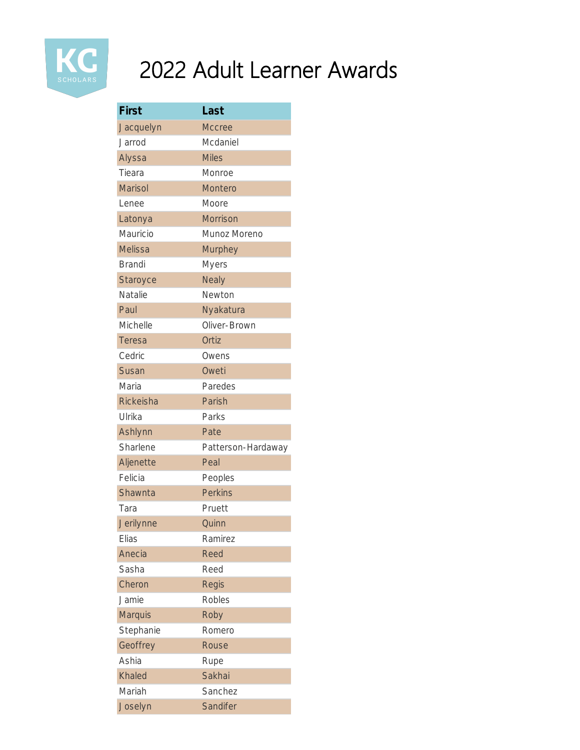

| First           | Last               |
|-----------------|--------------------|
| Jacquelyn       | <b>Mccree</b>      |
| Jarrod          | Mcdaniel           |
| Alyssa          | <b>Miles</b>       |
| Tieara          | Monroe             |
| Marisol         | Montero            |
| Lenee           | Moore              |
| Latonya         | <b>Morrison</b>    |
| Mauricio        | Munoz Moreno       |
| <b>Melissa</b>  | <b>Murphey</b>     |
| <b>Brandi</b>   | <b>Myers</b>       |
| <b>Staroyce</b> | <b>Nealy</b>       |
| Natalie         | Newton             |
| Paul            | Nyakatura          |
| Michelle        | Oliver-Brown       |
| <b>Teresa</b>   | Ortiz              |
| Cedric          | Owens              |
| Susan           | Oweti              |
| Maria           | Paredes            |
| Rickeisha       | Parish             |
| Ulrika          | Parks              |
| Ashlynn         | Pate               |
| Sharlene        | Patterson-Hardaway |
| Aljenette       | Peal               |
| Felicia         | Peoples            |
| Shawnta         | <b>Perkins</b>     |
| Tara            | Pruett             |
| Jerilynne       | Quinn              |
| Elias           | Ramirez            |
| Anecia          | <b>Reed</b>        |
| Sasha           | Reed               |
| Cheron          | <b>Regis</b>       |
| Jamie           | <b>Robles</b>      |
| <b>Marquis</b>  | Roby               |
| Stephanie       | Romero             |
| Geoffrey        | Rouse              |
| Ashia           | Rupe               |
| Khaled          | Sakhai             |
| Mariah          | Sanchez            |
| Joselyn         | Sandifer           |